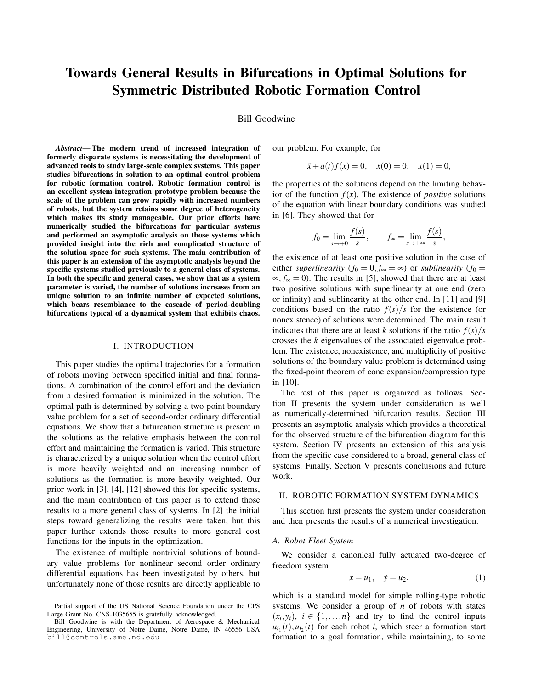# Towards General Results in Bifurcations in Optimal Solutions for Symmetric Distributed Robotic Formation Control

#### Bill Goodwine

*Abstract*— The modern trend of increased integration of formerly disparate systems is necessitating the development of advanced tools to study large-scale complex systems. This paper studies bifurcations in solution to an optimal control problem for robotic formation control. Robotic formation control is an excellent system-integration prototype problem because the scale of the problem can grow rapidly with increased numbers of robots, but the system retains some degree of heterogeneity which makes its study manageable. Our prior efforts have numerically studied the bifurcations for particular systems and performed an asymptotic analysis on those systems which provided insight into the rich and complicated structure of the solution space for such systems. The main contribution of this paper is an extension of the asymptotic analysis beyond the specific systems studied previously to a general class of systems. In both the specific and general cases, we show that as a system parameter is varied, the number of solutions increases from an unique solution to an infinite number of expected solutions, which bears resemblance to the cascade of period-doubling bifurcations typical of a dynamical system that exhibits chaos.

### I. INTRODUCTION

This paper studies the optimal trajectories for a formation of robots moving between specified initial and final formations. A combination of the control effort and the deviation from a desired formation is minimized in the solution. The optimal path is determined by solving a two-point boundary value problem for a set of second-order ordinary differential equations. We show that a bifurcation structure is present in the solutions as the relative emphasis between the control effort and maintaining the formation is varied. This structure is characterized by a unique solution when the control effort is more heavily weighted and an increasing number of solutions as the formation is more heavily weighted. Our prior work in [3], [4], [12] showed this for specific systems, and the main contribution of this paper is to extend those results to a more general class of systems. In [2] the initial steps toward generalizing the results were taken, but this paper further extends those results to more general cost functions for the inputs in the optimization.

The existence of multiple nontrivial solutions of boundary value problems for nonlinear second order ordinary differential equations has been investigated by others, but unfortunately none of those results are directly applicable to

our problem. For example, for

$$
\ddot{x} + a(t)f(x) = 0, \quad x(0) = 0, \quad x(1) = 0,
$$

the properties of the solutions depend on the limiting behavior of the function  $f(x)$ . The existence of *positive* solutions of the equation with linear boundary conditions was studied in [6]. They showed that for

$$
f_0 = \lim_{s \to +0} \frac{f(s)}{s}, \qquad f_{\infty} = \lim_{s \to +\infty} \frac{f(s)}{s},
$$

the existence of at least one positive solution in the case of either *superlinearity*  $(f_0 = 0, f_{\infty} = \infty)$  or *sublinearity*  $(f_0 =$ ∞, *f*<sup>∞</sup> = 0). The results in [5], showed that there are at least two positive solutions with superlinearity at one end (zero or infinity) and sublinearity at the other end. In [11] and [9] conditions based on the ratio  $f(s)/s$  for the existence (or nonexistence) of solutions were determined. The main result indicates that there are at least *k* solutions if the ratio  $f(s)/s$ crosses the *k* eigenvalues of the associated eigenvalue problem. The existence, nonexistence, and multiplicity of positive solutions of the boundary value problem is determined using the fixed-point theorem of cone expansion/compression type in [10].

The rest of this paper is organized as follows. Section II presents the system under consideration as well as numerically-determined bifurcation results. Section III presents an asymptotic analysis which provides a theoretical for the observed structure of the bifurcation diagram for this system. Section IV presents an extension of this analysis from the specific case considered to a broad, general class of systems. Finally, Section V presents conclusions and future work.

#### II. ROBOTIC FORMATION SYSTEM DYNAMICS

This section first presents the system under consideration and then presents the results of a numerical investigation.

#### *A. Robot Fleet System*

We consider a canonical fully actuated two-degree of freedom system

$$
\dot{x} = u_1, \quad \dot{y} = u_2. \tag{1}
$$

which is a standard model for simple rolling-type robotic systems. We consider a group of *n* of robots with states  $(x_i, y_i)$ ,  $i \in \{1, \ldots, n\}$  and try to find the control inputs  $u_{i_1}(t)$ ,  $u_{i_2}(t)$  for each robot *i*, which steer a formation start formation to a goal formation, while maintaining, to some

Partial support of the US National Science Foundation under the CPS Large Grant No. CNS-1035655 is gratefully acknowledged.

Bill Goodwine is with the Department of Aerospace & Mechanical Engineering, University of Notre Dame, Notre Dame, IN 46556 USA bill@controls.ame.nd.edu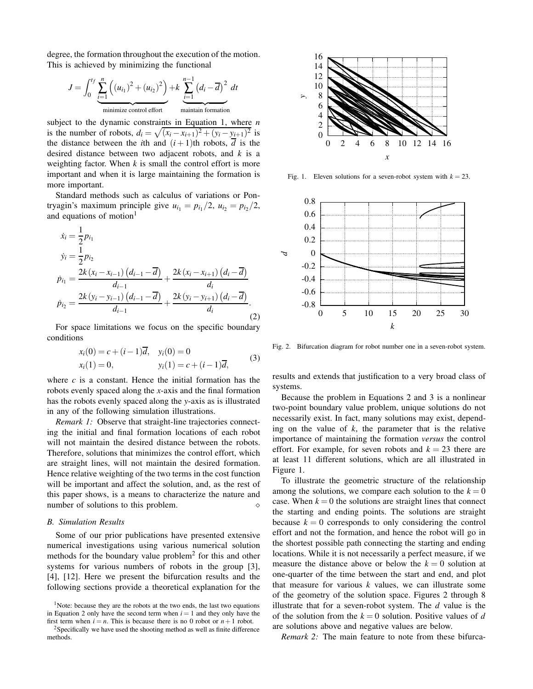degree, the formation throughout the execution of the motion. This is achieved by minimizing the functional

$$
J = \int_0^{t_f} \sum_{i=1}^n \left( (u_{i_1})^2 + (u_{i_2})^2 \right) + k \sum_{i=1}^{n-1} \left( d_i - \overline{d} \right)^2 dt
$$
  
minimize control effort  
maintain formation

subject to the dynamic constraints in Equation 1, where *n* is the number of robots,  $d_i = \sqrt{(x_i - x_{i+1})^2 + (y_i - y_{i+1})^2}$  is the distance between the *i*th and  $(i + 1)$ th robots,  $\overline{d}$  is the desired distance between two adjacent robots, and *k* is a weighting factor. When *k* is small the control effort is more important and when it is large maintaining the formation is more important.

Standard methods such as calculus of variations or Pontryagin's maximum principle give  $u_{i_1} = p_{i_1}/2$ ,  $u_{i_2} = p_{i_2}/2$ , and equations of motion $<sup>1</sup>$ </sup>

$$
\begin{aligned}\n\dot{x}_i &= \frac{1}{2} p_{i_1} \\
\dot{y}_i &= \frac{1}{2} p_{i_2} \\
\dot{p}_{i_1} &= \frac{2k(x_i - x_{i-1}) (d_{i-1} - \overline{d})}{d_{i-1}} + \frac{2k(x_i - x_{i+1}) (d_i - \overline{d})}{d_i} \\
\dot{p}_{i_2} &= \frac{2k(y_i - y_{i-1}) (d_{i-1} - \overline{d})}{d_{i-1}} + \frac{2k(y_i - y_{i+1}) (d_i - \overline{d})}{d_i}.\n\end{aligned}
$$
\n(2)

For space limitations we focus on the specific boundary conditions

$$
x_i(0) = c + (i - 1)d, \quad y_i(0) = 0
$$
  
\n
$$
x_i(1) = 0, \qquad y_i(1) = c + (i - 1)\overline{d}, \qquad (3)
$$

where *c* is a constant. Hence the initial formation has the robots evenly spaced along the *x*-axis and the final formation has the robots evenly spaced along the *y*-axis as is illustrated in any of the following simulation illustrations.

*Remark 1:* Observe that straight-line trajectories connecting the initial and final formation locations of each robot will not maintain the desired distance between the robots. Therefore, solutions that minimizes the control effort, which are straight lines, will not maintain the desired formation. Hence relative weighting of the two terms in the cost function will be important and affect the solution, and, as the rest of this paper shows, is a means to characterize the nature and number of solutions to this problem.

## *B. Simulation Results*

Some of our prior publications have presented extensive numerical investigations using various numerical solution methods for the boundary value problem<sup>2</sup> for this and other systems for various numbers of robots in the group [3], [4], [12]. Here we present the bifurcation results and the following sections provide a theoretical explanation for the



Fig. 1. Eleven solutions for a seven-robot system with  $k = 23$ .



Fig. 2. Bifurcation diagram for robot number one in a seven-robot system.

results and extends that justification to a very broad class of systems.

Because the problem in Equations 2 and 3 is a nonlinear two-point boundary value problem, unique solutions do not necessarily exist. In fact, many solutions may exist, depending on the value of *k*, the parameter that is the relative importance of maintaining the formation *versus* the control effort. For example, for seven robots and  $k = 23$  there are at least 11 different solutions, which are all illustrated in Figure 1.

To illustrate the geometric structure of the relationship among the solutions, we compare each solution to the  $k = 0$ case. When  $k = 0$  the solutions are straight lines that connect the starting and ending points. The solutions are straight because  $k = 0$  corresponds to only considering the control effort and not the formation, and hence the robot will go in the shortest possible path connecting the starting and ending locations. While it is not necessarily a perfect measure, if we measure the distance above or below the  $k = 0$  solution at one-quarter of the time between the start and end, and plot that measure for various *k* values, we can illustrate some of the geometry of the solution space. Figures 2 through 8 illustrate that for a seven-robot system. The *d* value is the of the solution from the  $k = 0$  solution. Positive values of *d* are solutions above and negative values are below.

*Remark 2:* The main feature to note from these bifurca-

<sup>&</sup>lt;sup>1</sup>Note: because they are the robots at the two ends, the last two equations in Equation 2 only have the second term when  $i = 1$  and they only have the first term when  $i = n$ . This is because there is no 0 robot or  $n + 1$  robot.

<sup>&</sup>lt;sup>2</sup>Specifically we have used the shooting method as well as finite difference methods.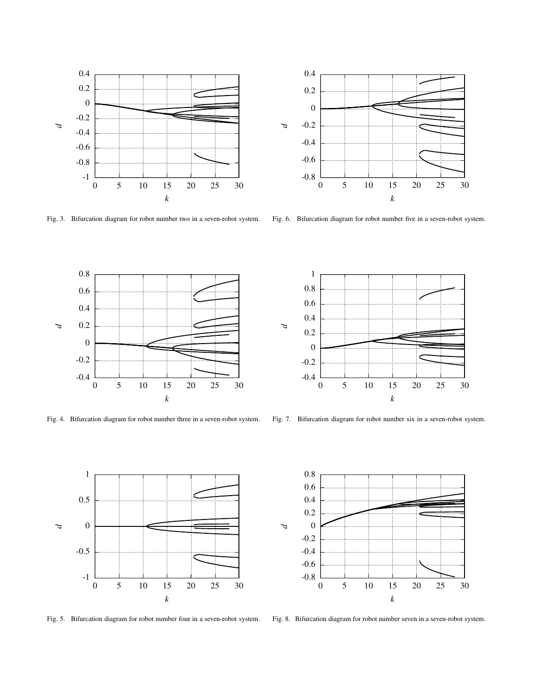

Fig. 3. Bifurcation diagram for robot number two in a seven-robot system.



Fig. 6. Bifurcation diagram for robot number five in a seven-robot system.



Fig. 4. Bifurcation diagram for robot number three in a seven-robot system.



Fig. 7. Bifurcation diagram for robot number six in a seven-robot system.



Fig. 5. Bifurcation diagram for robot number four in a seven-robot system.



Fig. 8. Bifurcation diagram for robot number seven in a seven-robot system.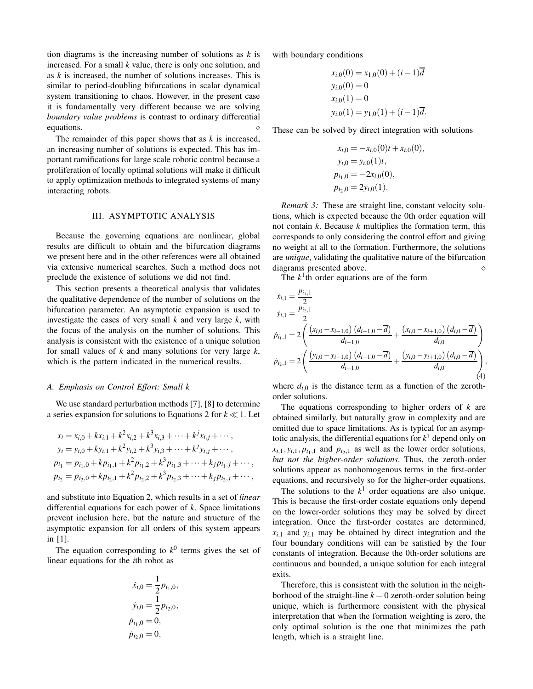tion diagrams is the increasing number of solutions as *k* is increased. For a small *k* value, there is only one solution, and as *k* is increased, the number of solutions increases. This is similar to period-doubling bifurcations in scalar dynamical system transitioning to chaos. However, in the present case it is fundamentally very different because we are solving *boundary value problems* is contrast to ordinary differential equations.  $\Diamond$ 

The remainder of this paper shows that as *k* is increased, an increasing number of solutions is expected. This has important ramifications for large scale robotic control because a proliferation of locally optimal solutions will make it difficult to apply optimization methods to integrated systems of many interacting robots.

# III. ASYMPTOTIC ANALYSIS

Because the governing equations are nonlinear, global results are difficult to obtain and the bifurcation diagrams we present here and in the other references were all obtained via extensive numerical searches. Such a method does not preclude the existence of solutions we did not find.

This section presents a theoretical analysis that validates the qualitative dependence of the number of solutions on the bifurcation parameter. An asymptotic expansion is used to investigate the cases of very small *k* and very large *k*, with the focus of the analysis on the number of solutions. This analysis is consistent with the existence of a unique solution for small values of *k* and many solutions for very large *k*, which is the pattern indicated in the numerical results.

#### *A. Emphasis on Control Effort: Small k*

We use standard perturbation methods [7], [8] to determine a series expansion for solutions to Equations 2 for *k* ≪ 1. Let

$$
x_i = x_{i,0} + kx_{i,1} + k^2x_{i,2} + k^3x_{i,3} + \dots + k^jx_{i,j} + \dots,
$$
  
\n
$$
y_i = y_{i,0} + ky_{i,1} + k^2y_{i,2} + k^3y_{i,3} + \dots + k^jy_{i,j} + \dots,
$$
  
\n
$$
p_{i_1} = p_{i_1,0} + kp_{i_1,1} + k^2p_{i_1,2} + k^3p_{i_1,3} + \dots + k_jp_{i_1,j} + \dots,
$$
  
\n
$$
p_{i_2} = p_{i_2,0} + kp_{i_2,1} + k^2p_{i_2,2} + k^3p_{i_2,3} + \dots + kp_{i_2,j} + \dots,
$$

and substitute into Equation 2, which results in a set of *linear* differential equations for each power of *k*. Space limitations prevent inclusion here, but the nature and structure of the asymptotic expansion for all orders of this system appears in [1].

The equation corresponding to  $k^0$  terms gives the set of linear equations for the *i*th robot as

$$
\dot{x}_{i,0} = \frac{1}{2} p_{i_1,0},
$$
  
\n
$$
\dot{y}_{i,0} = \frac{1}{2} p_{i_2,0},
$$
  
\n
$$
\dot{p}_{i_1,0} = 0,
$$
  
\n
$$
\dot{p}_{i_2,0} = 0,
$$

with boundary conditions

$$
x_{i,0}(0) = x_{1,0}(0) + (i - 1)\overline{d}
$$
  
\n
$$
y_{i,0}(0) = 0
$$
  
\n
$$
x_{i,0}(1) = 0
$$
  
\n
$$
y_{i,0}(1) = y_{1,0}(1) + (i - 1)\overline{d}.
$$

These can be solved by direct integration with solutions

$$
x_{i,0} = -x_{i,0}(0)t + x_{i,0}(0),
$$
  
\n
$$
y_{i,0} = y_{i,0}(1)t,
$$
  
\n
$$
p_{i_1,0} = -2x_{i,0}(0),
$$
  
\n
$$
p_{i_2,0} = 2y_{i,0}(1).
$$

*Remark 3:* These are straight line, constant velocity solutions, which is expected because the 0th order equation will not contain *k*. Because *k* multiplies the formation term, this corresponds to only considering the control effort and giving no weight at all to the formation. Furthermore, the solutions are *unique*, validating the qualitative nature of the bifurcation diagrams presented above.  $\Diamond$ 

The  $k<sup>1</sup>$ <sup>th</sup> order equations are of the form

$$
\dot{x}_{i,1} = \frac{p_{i_1,1}}{2}
$$
\n
$$
\dot{y}_{i,1} = \frac{p_{i_2,1}}{2}
$$
\n
$$
\dot{p}_{i_1,1} = 2\left(\frac{(x_{i,0} - x_{i-1,0}) (d_{i-1,0} - \overline{d})}{d_{i-1,0}} + \frac{(x_{i,0} - x_{i+1,0}) (d_{i,0} - \overline{d})}{d_{i,0}}\right)
$$
\n
$$
\dot{p}_{i_2,1} = 2\left(\frac{(y_{i,0} - y_{i-1,0}) (d_{i-1,0} - \overline{d})}{d_{i-1,0}} + \frac{(y_{i,0} - y_{i+1,0}) (d_{i,0} - \overline{d})}{d_{i,0}}\right),
$$
\n(4)

where  $d_{i,0}$  is the distance term as a function of the zerothorder solutions.

The equations corresponding to higher orders of *k* are obtained similarly, but naturally grow in complexity and are omitted due to space limitations. As is typical for an asymptotic analysis, the differential equations for *k* <sup>1</sup> depend only on  $x_{i,1}, y_{i,1}, p_{i,1}$  and  $p_{i,1}$  as well as the lower order solutions, *but not the higher-order solutions*. Thus, the zeroth-order solutions appear as nonhomogenous terms in the first-order equations, and recursively so for the higher-order equations.

The solutions to the  $k<sup>1</sup>$  order equations are also unique. This is because the first-order costate equations only depend on the lower-order solutions they may be solved by direct integration. Once the first-order costates are determined,  $x_{i,1}$  and  $y_{i,1}$  may be obtained by direct integration and the four boundary conditions will can be satisfied by the four constants of integration. Because the 0th-order solutions are continuous and bounded, a unique solution for each integral exits.

Therefore, this is consistent with the solution in the neighborhood of the straight-line  $k = 0$  zeroth-order solution being unique, which is furthermore consistent with the physical interpretation that when the formation weighting is zero, the only optimal solution is the one that minimizes the path length, which is a straight line.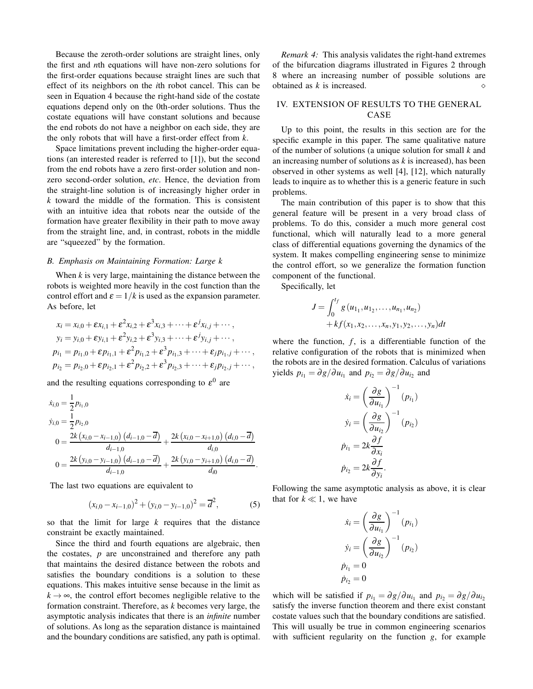Because the zeroth-order solutions are straight lines, only the first and *n*th equations will have non-zero solutions for the first-order equations because straight lines are such that effect of its neighbors on the *i*th robot cancel. This can be seen in Equation 4 because the right-hand side of the costate equations depend only on the 0th-order solutions. Thus the costate equations will have constant solutions and because the end robots do not have a neighbor on each side, they are the only robots that will have a first-order effect from *k*.

Space limitations prevent including the higher-order equations (an interested reader is referred to [1]), but the second from the end robots have a zero first-order solution and nonzero second-order solution, *etc*. Hence, the deviation from the straight-line solution is of increasingly higher order in *k* toward the middle of the formation. This is consistent with an intuitive idea that robots near the outside of the formation have greater flexibility in their path to move away from the straight line, and, in contrast, robots in the middle are "squeezed" by the formation.

#### *B. Emphasis on Maintaining Formation: Large k*

When *k* is very large, maintaining the distance between the robots is weighted more heavily in the cost function than the control effort and  $\varepsilon = 1/k$  is used as the expansion parameter. As before, let

$$
x_i = x_{i,0} + \varepsilon x_{i,1} + \varepsilon^2 x_{i,2} + \varepsilon^3 x_{i,3} + \dots + \varepsilon^j x_{i,j} + \dots,
$$
  
\n
$$
y_i = y_{i,0} + \varepsilon y_{i,1} + \varepsilon^2 y_{i,2} + \varepsilon^3 y_{i,3} + \dots + \varepsilon^j y_{i,j} + \dots,
$$
  
\n
$$
p_{i_1} = p_{i_1,0} + \varepsilon p_{i_1,1} + \varepsilon^2 p_{i_1,2} + \varepsilon^3 p_{i_1,3} + \dots + \varepsilon_j p_{i_1,j} + \dots,
$$
  
\n
$$
p_{i_2} = p_{i_2,0} + \varepsilon p_{i_2,1} + \varepsilon^2 p_{i_2,2} + \varepsilon^3 p_{i_2,3} + \dots + \varepsilon_j p_{i_2,j} + \dots,
$$

and the resulting equations corresponding to  $\varepsilon^0$  are

$$
\dot{x}_{i,0} = \frac{1}{2} p_{i_1,0}
$$
\n
$$
\dot{y}_{i,0} = \frac{1}{2} p_{i_2,0}
$$
\n
$$
0 = \frac{2k (x_{i,0} - x_{i-1,0}) (d_{i-1,0} - \overline{d})}{d_{i-1,0}} + \frac{2k (x_{i,0} - x_{i+1,0}) (d_{i,0} - \overline{d})}{d_{i,0}}
$$
\n
$$
0 = \frac{2k (y_{i,0} - y_{i-1,0}) (d_{i-1,0} - \overline{d})}{d_{i-1,0}} + \frac{2k (y_{i,0} - y_{i+1,0}) (d_{i,0} - \overline{d})}{d_{i0}}.
$$

The last two equations are equivalent to

$$
(x_{i,0} - x_{i-1,0})^2 + (y_{i,0} - y_{i-1,0})^2 = \overline{d}^2, \tag{5}
$$

so that the limit for large *k* requires that the distance constraint be exactly maintained.

Since the third and fourth equations are algebraic, then the costates, *p* are unconstrained and therefore any path that maintains the desired distance between the robots and satisfies the boundary conditions is a solution to these equations. This makes intuitive sense because in the limit as  $k \rightarrow \infty$ , the control effort becomes negligible relative to the formation constraint. Therefore, as *k* becomes very large, the asymptotic analysis indicates that there is an *infinite* number of solutions. As long as the separation distance is maintained and the boundary conditions are satisfied, any path is optimal.

*Remark 4:* This analysis validates the right-hand extremes of the bifurcation diagrams illustrated in Figures 2 through 8 where an increasing number of possible solutions are obtained as *k* is increased. ⋄

## IV. EXTENSION OF RESULTS TO THE GENERAL CASE

Up to this point, the results in this section are for the specific example in this paper. The same qualitative nature of the number of solutions (a unique solution for small *k* and an increasing number of solutions as *k* is increased), has been observed in other systems as well [4], [12], which naturally leads to inquire as to whether this is a generic feature in such problems.

The main contribution of this paper is to show that this general feature will be present in a very broad class of problems. To do this, consider a much more general cost functional, which will naturally lead to a more general class of differential equations governing the dynamics of the system. It makes compelling engineering sense to minimize the control effort, so we generalize the formation function component of the functional.

Specifically, let

$$
J = \int_0^{t_f} g(u_{1_1}, u_{1_2}, \dots, u_{n_1}, u_{n_2})
$$
  
+  $k f(x_1, x_2, \dots, x_n, y_1, y_2, \dots, y_n) dt$ 

where the function,  $f$ , is a differentiable function of the relative configuration of the robots that is minimized when the robots are in the desired formation. Calculus of variations yields  $p_{i_1} = \partial g / \partial u_{i_1}$  and  $p_{i_2} = \partial g / \partial u_{i_2}$  and

$$
\dot{x}_i = \left(\frac{\partial g}{\partial u_{i_1}}\right)^{-1} (p_{i_1})
$$
\n
$$
\dot{y}_i = \left(\frac{\partial g}{\partial u_{i_2}}\right)^{-1} (p_{i_2})
$$
\n
$$
\dot{p}_{i_1} = 2k \frac{\partial f}{\partial x_i}
$$
\n
$$
\dot{p}_{i_2} = 2k \frac{\partial f}{\partial y_i}.
$$

Following the same asymptotic analysis as above, it is clear that for  $k \ll 1$ , we have

$$
\dot{x}_i = \left(\frac{\partial g}{\partial u_{i_1}}\right)^{-1} (p_{i_1})
$$
\n
$$
\dot{y}_i = \left(\frac{\partial g}{\partial u_{i_2}}\right)^{-1} (p_{i_2})
$$
\n
$$
\dot{p}_{i_1} = 0
$$
\n
$$
\dot{p}_{i_2} = 0
$$

which will be satisfied if  $p_{i_1} = \partial g / \partial u_{i_1}$  and  $p_{i_2} = \partial g / \partial u_{i_2}$ satisfy the inverse function theorem and there exist constant costate values such that the boundary conditions are satisfied. This will usually be true in common engineering scenarios with sufficient regularity on the function *g*, for example